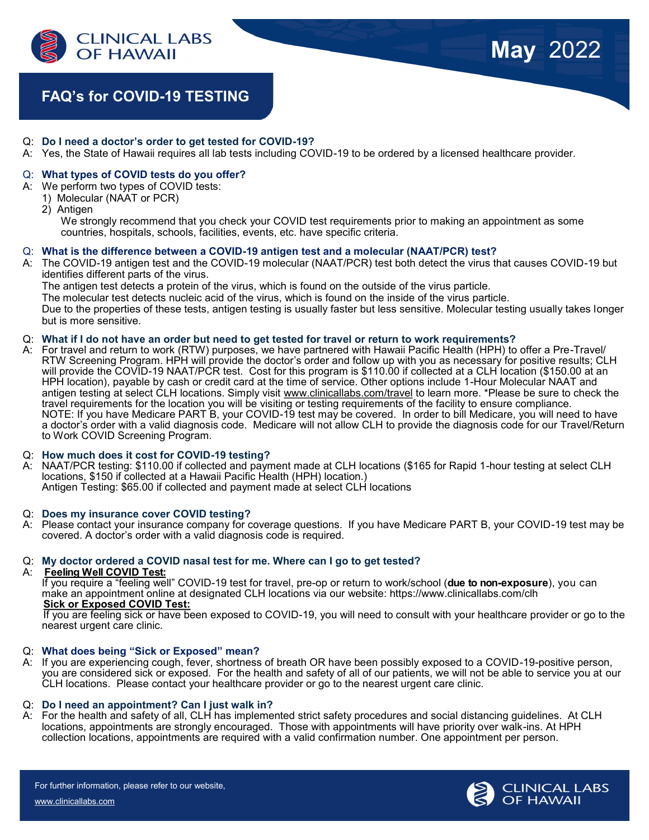

# **FAQ's for COVID-19 TESTING**

- Q: **Do I need a doctor's order to get tested for COVID-19?**
- A: Yes, the State of Hawaii requires all lab tests including COVID-19 to be ordered by a licensed healthcare provider.

#### Q: **What types of COVID tests do you offer?**

- A: We perform two types of COVID tests:
	- 1) Molecular (NAAT or PCR)
	- 2) Antigen

 We strongly recommend that you check your COVID test requirements prior to making an appointment as some countries, hospitals, schools, facilities, events, etc. have specific criteria.

#### Q: **What is the difference between a COVID-19 antigen test and a molecular (NAAT/PCR) test?**

A: The COVID-19 antigen test and the COVID-19 molecular (NAAT/PCR) test both detect the virus that causes COVID-19 but identifies different parts of the virus. The antigen test detects a protein of the virus, which is found on the outside of the virus particle. The molecular test detects nucleic acid of the virus, which is found on the inside of the virus particle. Due to the properties of these tests, antigen testing is usually faster but less sensitive. Molecular testing usually takes longer but is more sensitive.

#### Q: **What if I do not have an order but need to get tested for travel or return to work requirements?**

A: For travel and return to work (RTW) purposes, we have partnered with Hawaii Pacific Health (HPH) to offer a Pre-Travel/ RTW Screening Program. HPH will provide the doctor's order and follow up with you as necessary for positive results; CLH will provide the COVID-19 NAAT/PCR test. Cost for this program is \$110.00 if collected at a CLH location (\$150.00 at an HPH location), payable by cash or credit card at the time of service. Other options include 1-Hour Molecular NAAT and antigen testing at select CLH locations. Simply visit [www.clinicallabs.com/travel](http://www.clinicallabs.com/travel) to learn more. \*Please be sure to check the travel requirements for the location you will be visiting or testing requirements of the facility to ensure compliance. NOTE: If you have Medicare PART B, your COVID-19 test may be covered. In order to bill Medicare, you will need to have a doctor's order with a valid diagnosis code. Medicare will not allow CLH to provide the diagnosis code for our Travel/Return to Work COVID Screening Program.

#### Q: **How much does it cost for COVID-19 testing?**

A: NAAT/PCR testing: \$110.00 if collected and payment made at CLH locations (\$165 for Rapid 1-hour testing at select CLH locations, \$150 if collected at a Hawaii Pacific Health (HPH) location.) Antigen Testing: \$65.00 if collected and payment made at select CLH locations

#### Q: **Does my insurance cover COVID testing?**

A: Please contact your insurance company for coverage questions. If you have Medicare PART B, your COVID-19 test may be covered. A doctor's order with a valid diagnosis code is required.

#### Q: **My doctor ordered a COVID nasal test for me. Where can I go to get tested?**

#### A: **Feeling Well COVID Test:**

If you require a "feeling well" COVID-19 test for travel, pre-op or return to work/school (**due to non-exposure**), you can make an appointment online at designated CLH locations via our website: https://www.clinicallabs.com/clh **Sick or Exposed COVID Test:**

If you are feeling sick or have been exposed to COVID-19, you will need to consult with your healthcare provider or go to the nearest urgent care clinic.

#### Q: **What does being "Sick or Exposed" mean?**

A: If you are experiencing cough, fever, shortness of breath OR have been possibly exposed to a COVID-19-positive person, you are considered sick or exposed. For the health and safety of all of our patients, we will not be able to service you at our CLH locations. Please contact your healthcare provider or go to the nearest urgent care clinic.

#### Q: **Do I need an appointment? Can I just walk in?**

A: For the health and safety of all, CLH has implemented strict safety procedures and social distancing guidelines. At CLH locations, appointments are strongly encouraged. Those with appointments will have priority over walk-ins. At HPH collection locations, appointments are required with a valid confirmation number. One appointment per person.

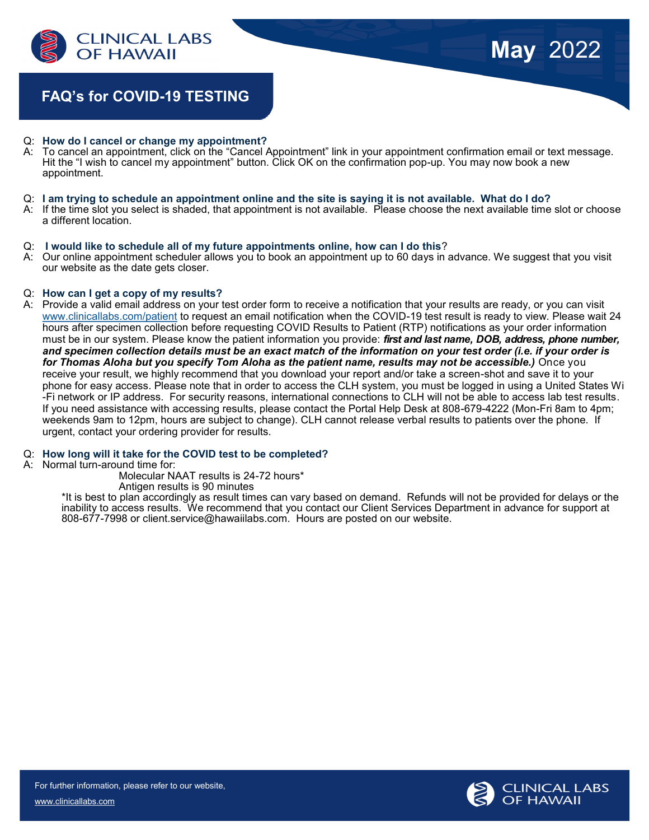

## **FAQ's for COVID-19 TESTING**

# Q: **How do I cancel or change my appointment?**

- To cancel an appointment, click on the "Cancel Appointment" link in your appointment confirmation email or text message. Hit the "I wish to cancel my appointment" button. Click OK on the confirmation pop-up. You may now book a new appointment.
- Q: **I am trying to schedule an appointment online and the site is saying it is not available. What do I do?**
- A: If the time slot you select is shaded, that appointment is not available. Please choose the next available time slot or choose a different location.

#### Q: **I would like to schedule all of my future appointments online, how can I do this**?

A: Our online appointment scheduler allows you to book an appointment up to 60 days in advance. We suggest that you visit our website as the date gets closer.

#### Q: **How can I get a copy of my results?**

A: Provide a valid email address on your test order form to receive a notification that your results are ready, or you can visit [www.clinicallabs.com/patient](http://www.clinicallabs.com/patient) to request an email notification when the COVID-19 test result is ready to view. Please wait 24 hours after specimen collection before requesting COVID Results to Patient (RTP) notifications as your order information must be in our system. Please know the patient information you provide: *first and last name, DOB, address, phone number, and specimen collection details must be an exact match of the information on your test order (i.e. if your order is for Thomas Aloha but you specify Tom Aloha as the patient name, results may not be accessible.)* Once you receive your result, we highly recommend that you download your report and/or take a screen-shot and save it to your phone for easy access. Please note that in order to access the CLH system, you must be logged in using a United States Wi -Fi network or IP address. For security reasons, international connections to CLH will not be able to access lab test results. If you need assistance with accessing results, please contact the Portal Help Desk at 808-679-4222 (Mon-Fri 8am to 4pm; weekends 9am to 12pm, hours are subject to change). CLH cannot release verbal results to patients over the phone. If urgent, contact your ordering provider for results.

#### Q: **How long will it take for the COVID test to be completed?**

A: Normal turn-around time for:

Molecular NAAT results is 24-72 hours\*

Antigen results is 90 minutes

\*It is best to plan accordingly as result times can vary based on demand. Refunds will not be provided for delays or the inability to access results. We recommend that you contact our Client Services Department in advance for support at 808-677-7998 or client.service@hawaiilabs.com. Hours are posted on our website.